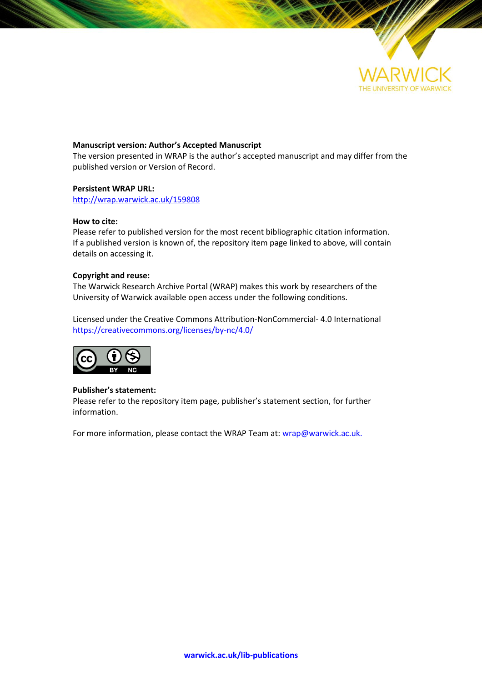

## **Manuscript version: Author's Accepted Manuscript**

The version presented in WRAP is the author's accepted manuscript and may differ from the published version or Version of Record.

## **Persistent WRAP URL:**

<http://wrap.warwick.ac.uk/159808>

## **How to cite:**

Please refer to published version for the most recent bibliographic citation information. If a published version is known of, the repository item page linked to above, will contain details on accessing it.

## **Copyright and reuse:**

The Warwick Research Archive Portal (WRAP) makes this work by researchers of the University of Warwick available open access under the following conditions.

Licensed under the Creative Commons Attribution-NonCommercial- 4.0 International https://creativecommons.org/licenses/by-nc/4.0/



## **Publisher's statement:**

Please refer to the repository item page, publisher's statement section, for further information.

For more information, please contact the WRAP Team at[: wrap@warwick.ac.uk.](mailto:wrap@warwick.ac.uk)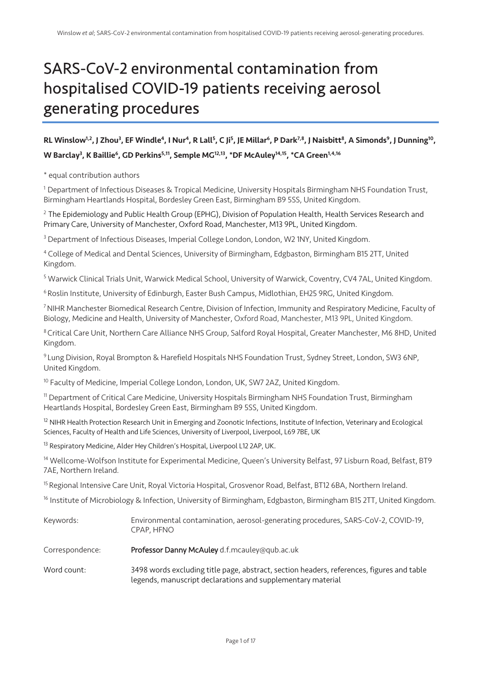# SARS-CoV-2 environmental contamination from hospitalised COVID-19 patients receiving aerosol generating procedures

# RL Winslow<sup>1,2</sup>, J Zhou<sup>3</sup>, EF Windle<sup>4</sup>, I Nur<sup>4</sup>, R Lall<sup>5</sup>, C Ji<sup>5</sup>, JE Millar<sup>6</sup>, P Dark<sup>7,8</sup>, J Naisbitt<sup>8</sup>, A Simonds<sup>9</sup>, J Dunning<sup>10</sup>, W Barclay<sup>3</sup>, K Baillie<sup>6</sup>, GD Perkins<sup>5,11</sup>, Semple MG<sup>12,13</sup>, \*DF McAuley<sup>14,15</sup>, \*CA Green<sup>1,4,16</sup>

\* equal contribution authors

<sup>1</sup> Department of Infectious Diseases & Tropical Medicine, University Hospitals Birmingham NHS Foundation Trust, Birmingham Heartlands Hospital, Bordesley Green East, Birmingham B9 5SS, United Kingdom.

<sup>2</sup> The Epidemiology and Public Health Group (EPHG), Division of Population Health, Health Services Research and Primary Care, University of Manchester, Oxford Road, Manchester, M13 9PL, United Kingdom.

<sup>3</sup> Department of Infectious Diseases, Imperial College London, London, W2 1NY, United Kingdom.

<sup>4</sup> College of Medical and Dental Sciences, University of Birmingham, Edgbaston, Birmingham B15 2TT, United Kingdom.

<sup>5</sup> Warwick Clinical Trials Unit, Warwick Medical School, University of Warwick, Coventry, CV4 7AL, United Kingdom.

<sup>6</sup> Roslin Institute, University of Edinburgh, Easter Bush Campus, Midlothian, EH25 9RG, United Kingdom.

7NIHR Manchester Biomedical Research Centre, Division of Infection, Immunity and Respiratory Medicine, Faculty of Biology, Medicine and Health, University of Manchester, Oxford Road, Manchester, M13 9PL, United Kingdom.

8Critical Care Unit, Northern Care Alliance NHS Group, Salford Royal Hospital, Greater Manchester, M6 8HD, United Kingdom.

<sup>9</sup> Lung Division, Royal Brompton & Harefield Hospitals NHS Foundation Trust, Sydney Street, London, SW3 6NP, United Kingdom.

<sup>10</sup> Faculty of Medicine, Imperial College London, London, UK, SW7 2AZ, United Kingdom.

<sup>11</sup> Department of Critical Care Medicine, University Hospitals Birmingham NHS Foundation Trust, Birmingham Heartlands Hospital, Bordesley Green East, Birmingham B9 5SS, United Kingdom.

<sup>12</sup> NIHR Health Protection Research Unit in Emerging and Zoonotic Infections, Institute of Infection, Veterinary and Ecological Sciences, Faculty of Health and Life Sciences, University of Liverpool, Liverpool, L69 7BE, UK

<sup>13</sup> Respiratory Medicine, Alder Hey Children's Hospital, Liverpool L12 2AP, UK.

<sup>14</sup> Wellcome-Wolfson Institute for Experimental Medicine, Queen's University Belfast, 97 Lisburn Road, Belfast, BT9 7AE, Northern Ireland.

<sup>15</sup> Regional Intensive Care Unit, Royal Victoria Hospital, Grosvenor Road, Belfast, BT12 6BA, Northern Ireland.

<sup>16</sup> Institute of Microbiology & Infection, University of Birmingham, Edgbaston, Birmingham B15 2TT, United Kingdom.

| Keywords:       | Environmental contamination, aerosol-generating procedures, SARS-CoV-2, COVID-19,<br>CPAP, HFNO                                                          |
|-----------------|----------------------------------------------------------------------------------------------------------------------------------------------------------|
| Correspondence: | <b>Professor Danny McAuley</b> d.f.mcauley@qub.ac.uk                                                                                                     |
| Word count:     | 3498 words excluding title page, abstract, section headers, references, figures and table<br>legends, manuscript declarations and supplementary material |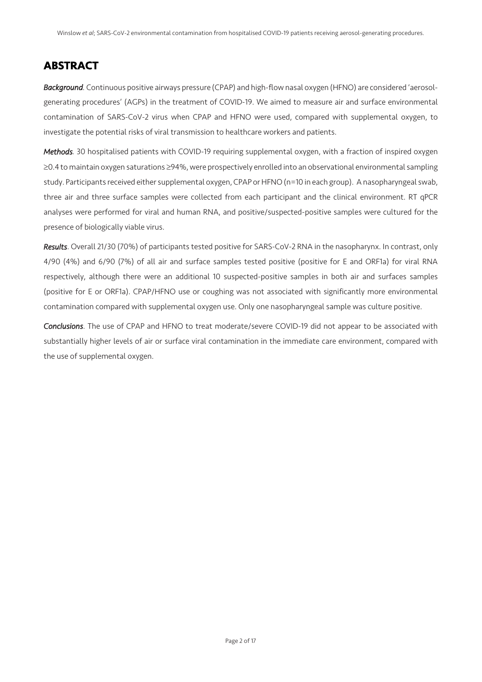# ABSTRACT

*Background.* Continuous positive airways pressure (CPAP) and high-flow nasal oxygen (HFNO) are considered 'aerosolgenerating procedures' (AGPs) in the treatment of COVID-19. We aimed to measure air and surface environmental contamination of SARS-CoV-2 virus when CPAP and HFNO were used, compared with supplemental oxygen, to investigate the potential risks of viral transmission to healthcare workers and patients.

*Methods.* 30 hospitalised patients with COVID-19 requiring supplemental oxygen, with a fraction of inspired oxygen ≥0.4 to maintain oxygen saturations ≥94%, were prospectively enrolled into an observational environmental sampling study. Participants received either supplemental oxygen, CPAP or HFNO (n=10 in each group). A nasopharyngeal swab, three air and three surface samples were collected from each participant and the clinical environment. RT qPCR analyses were performed for viral and human RNA, and positive/suspected-positive samples were cultured for the presence of biologically viable virus.

*Results*. Overall 21/30 (70%) of participants tested positive for SARS-CoV-2 RNA in the nasopharynx. In contrast, only 4/90 (4%) and 6/90 (7%) of all air and surface samples tested positive (positive for E and ORF1a) for viral RNA respectively, although there were an additional 10 suspected-positive samples in both air and surfaces samples (positive for E or ORF1a). CPAP/HFNO use or coughing was not associated with significantly more environmental contamination compared with supplemental oxygen use. Only one nasopharyngeal sample was culture positive.

*Conclusions*. The use of CPAP and HFNO to treat moderate/severe COVID-19 did not appear to be associated with substantially higher levels of air or surface viral contamination in the immediate care environment, compared with the use of supplemental oxygen.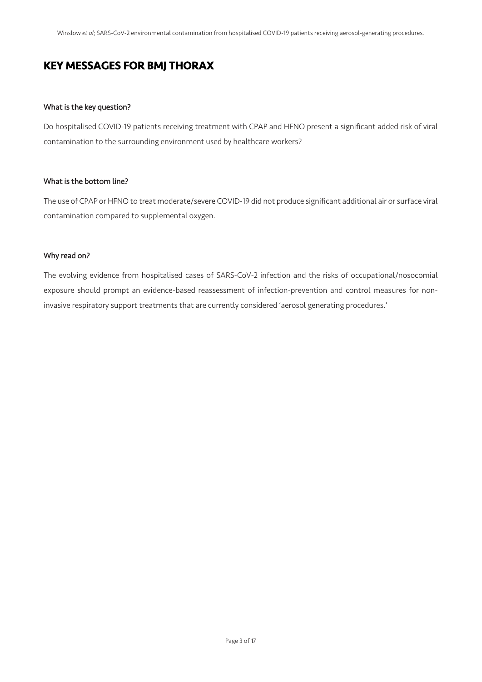# KEY MESSAGES FOR BMJ THORAX

## What is the key question?

Do hospitalised COVID-19 patients receiving treatment with CPAP and HFNO present a significant added risk of viral contamination to the surrounding environment used by healthcare workers?

## What is the bottom line?

The use of CPAP or HFNO to treat moderate/severe COVID-19 did not produce significant additional air or surface viral contamination compared to supplemental oxygen.

## Why read on?

The evolving evidence from hospitalised cases of SARS-CoV-2 infection and the risks of occupational/nosocomial exposure should prompt an evidence-based reassessment of infection-prevention and control measures for noninvasive respiratory support treatments that are currently considered 'aerosol generating procedures.'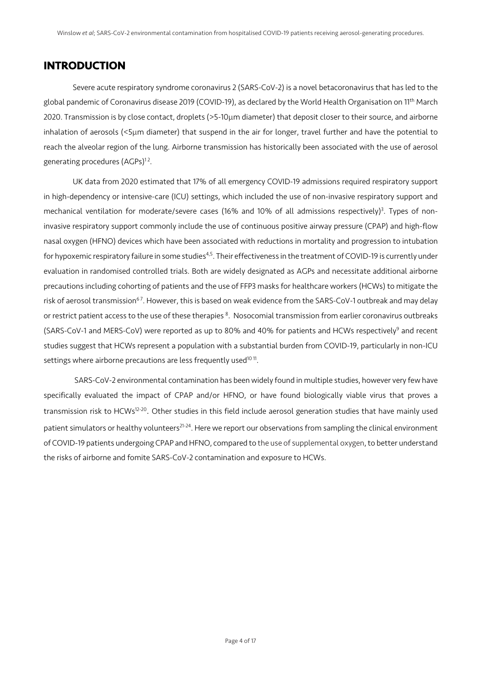## INTRODUCTION

Severe acute respiratory syndrome coronavirus 2 (SARS-CoV-2) is a novel betacoronavirus that has led to the global pandemic of Coronavirus disease 2019 (COVID-19), as declared by the World Health Organisation on 11<sup>th</sup> March 2020. Transmission is by close contact, droplets (>5-10µm diameter) that deposit closer to their source, and airborne inhalation of aerosols (<5µm diameter) that suspend in the air for longer, travel further and have the potential to reach the alveolar region of the lung. Airborne transmission has historically been associated with the use of aerosol generating procedures (AGPs)<sup>12</sup>.

UK data from 2020 estimated that 17% of all emergency COVID-19 admissions required respiratory support in high-dependency or intensive-care (ICU) settings, which included the use of non-invasive respiratory support and mechanical ventilation for moderate/severe cases (16% and 10% of all admissions respectively)<sup>3</sup>. Types of noninvasive respiratory support commonly include the use of continuous positive airway pressure (CPAP) and high-flow nasal oxygen (HFNO) devices which have been associated with reductions in mortality and progression to intubation for hypoxemic respiratory failure in some studies<sup>4,5</sup>. Their effectiveness in the treatment of COVID-19 is currently under evaluation in randomised controlled trials. Both are widely designated as AGPs and necessitate additional airborne precautions including cohorting of patients and the use of FFP3 masks for healthcare workers (HCWs) to mitigate the risk of aerosol transmission<sup>67</sup>. However, this is based on weak evidence from the SARS-CoV-1 outbreak and may delay or restrict patient access to the use of these therapies  $^8$ . Nosocomial transmission from earlier coronavirus outbreaks (SARS-CoV-1 and MERS-CoV) were reported as up to 80% and 40% for patients and HCWs respectively<sup>9</sup> and recent studies suggest that HCWs represent a population with a substantial burden from COVID-19, particularly in non-ICU settings where airborne precautions are less frequently used<sup>1011</sup>.

SARS-CoV-2 environmental contamination has been widely found in multiple studies, however very few have specifically evaluated the impact of CPAP and/or HFNO, or have found biologically viable virus that proves a transmission risk to HCWs<sup>12-20</sup>. Other studies in this field include aerosol generation studies that have mainly used patient simulators or healthy volunteers<sup>21-24</sup>. Here we report our observations from sampling the clinical environment of COVID-19 patients undergoing CPAP and HFNO, compared to the use of supplemental oxygen, to better understand the risks of airborne and fomite SARS-CoV-2 contamination and exposure to HCWs.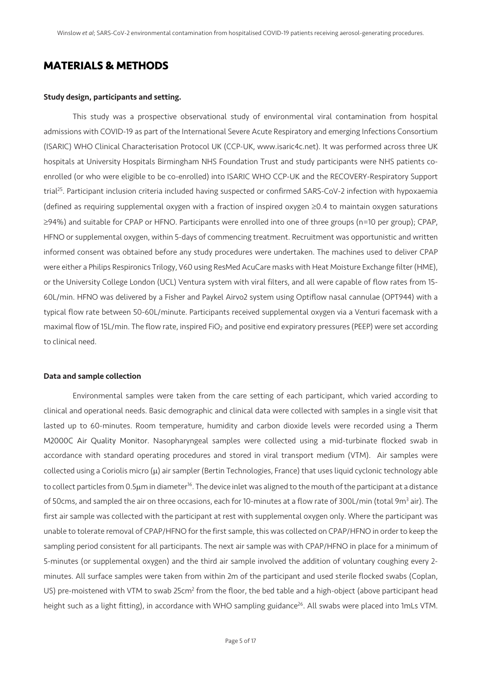## MATERIALS & METHODS

#### Study design, participants and setting.

This study was a prospective observational study of environmental viral contamination from hospital admissions with COVID-19 as part of the International Severe Acute Respiratory and emerging Infections Consortium (ISARIC) WHO Clinical Characterisation Protocol UK (CCP-UK, www.isaric4c.net). It was performed across three UK hospitals at University Hospitals Birmingham NHS Foundation Trust and study participants were NHS patients coenrolled (or who were eligible to be co-enrolled) into ISARIC WHO CCP-UK and the RECOVERY-Respiratory Support trial<sup>25</sup>. Participant inclusion criteria included having suspected or confirmed SARS-CoV-2 infection with hypoxaemia (defined as requiring supplemental oxygen with a fraction of inspired oxygen  $\geq 0.4$  to maintain oxygen saturations  $\geq$ 94%) and suitable for CPAP or HFNO. Participants were enrolled into one of three groups (n=10 per group); CPAP, HFNO or supplemental oxygen, within 5-days of commencing treatment. Recruitment was opportunistic and written informed consent was obtained before any study procedures were undertaken. The machines used to deliver CPAP were either a Philips Respironics Trilogy, V60 using ResMed AcuCare masks with Heat Moisture Exchange filter (HME), or the University College London (UCL) Ventura system with viral filters, and all were capable of flow rates from 15- 60L/min. HFNO was delivered by a Fisher and Paykel Airvo2 system using Optiflow nasal cannulae (OPT944) with a typical flow rate between 50-60L/minute. Participants received supplemental oxygen via a Venturi facemask with a maximal flow of 15L/min. The flow rate, inspired FiO<sub>2</sub> and positive end expiratory pressures (PEEP) were set according to clinical need.

## Data and sample collection

Environmental samples were taken from the care setting of each participant, which varied according to clinical and operational needs. Basic demographic and clinical data were collected with samples in a single visit that lasted up to 60-minutes. Room temperature, humidity and carbon dioxide levels were recorded using a Therm M2000C Air Quality Monitor. Nasopharyngeal samples were collected using a mid-turbinate flocked swab in accordance with standard operating procedures and stored in viral transport medium (VTM). Air samples were collected using a Coriolis micro  $(\mu)$  air sampler (Bertin Technologies, France) that uses liquid cyclonic technology able to collect particles from 0.5µm in diameter<sup>16</sup>. The device inlet was aligned to the mouth of the participant at a distance of 50cms, and sampled the air on three occasions, each for 10-minutes at a flow rate of 300L/min (total 9m<sup>3</sup> air). The first air sample was collected with the participant at rest with supplemental oxygen only. Where the participant was unable to tolerate removal of CPAP/HFNO for the first sample, this was collected on CPAP/HFNO in order to keep the sampling period consistent for all participants. The next air sample was with CPAP/HFNO in place for a minimum of 5-minutes (or supplemental oxygen) and the third air sample involved the addition of voluntary coughing every 2 minutes. All surface samples were taken from within 2m of the participant and used sterile flocked swabs (Coplan, US) pre-moistened with VTM to swab 25cm<sup>2</sup> from the floor, the bed table and a high-object (above participant head height such as a light fitting), in accordance with WHO sampling guidance<sup>26</sup>. All swabs were placed into 1mLs VTM.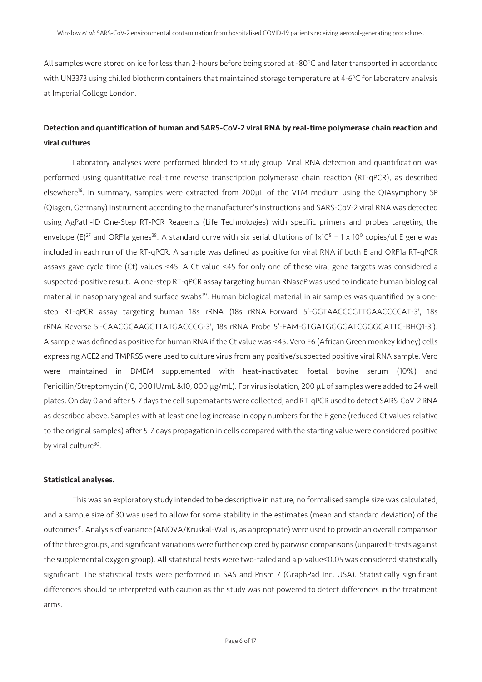All samples were stored on ice for less than 2-hours before being stored at -80°C and later transported in accordance with UN3373 using chilled biotherm containers that maintained storage temperature at 4-6°C for laboratory analysis at Imperial College London.

## Detection and quantification of human and SARS-CoV-2 viral RNA by real-time polymerase chain reaction and viral cultures

Laboratory analyses were performed blinded to study group. Viral RNA detection and quantification was performed using quantitative real-time reverse transcription polymerase chain reaction (RT-qPCR), as described elsewhere<sup>16</sup>. In summary, samples were extracted from 200µL of the VTM medium using the QIAsymphony SP (Qiagen, Germany) instrument according to the manufacturer's instructions and SARS-CoV-2 viral RNA was detected using AgPath-ID One-Step RT-PCR Reagents (Life Technologies) with specific primers and probes targeting the envelope (E)<sup>27</sup> and ORF1a genes<sup>28</sup>. A standard curve with six serial dilutions of  $1x10^5 - 1x10^0$  copies/ul E gene was included in each run of the RT-qPCR. A sample was defined as positive for viral RNA if both E and ORF1a RT-qPCR assays gave cycle time (Ct) values <45. A Ct value <45 for only one of these viral gene targets was considered a suspected-positive result. A one-step RT-qPCR assay targeting human RNaseP was used to indicate human biological material in nasopharyngeal and surface swabs<sup>29</sup>. Human biological material in air samples was quantified by a onestep RT-qPCR assay targeting human 18s rRNA (18s rRNA\_Forward 5'-GGTAACCCGTTGAACCCCAT-3', 18s rRNA\_Reverse 5'-CAACGCAAGCTTATGACCCG-3', 18s rRNA\_Probe 5'-FAM-GTGATGGGGATCGGGGATTG-BHQ1-3'). A sample was defined as positive for human RNA if the Ct value was <45. Vero E6 (African Green monkey kidney) cells expressing ACE2 and TMPRSS were used to culture virus from any positive/suspected positive viral RNA sample. Vero were maintained in DMEM supplemented with heat-inactivated foetal bovine serum (10%) and Penicillin/Streptomycin (10, 000 IU/mL &10, 000 µg/mL). For virus isolation, 200 µL of samples were added to 24 well plates. On day 0 and after 5-7 days the cell supernatants were collected, and RT-qPCR used to detect SARS-CoV-2 RNA as described above. Samples with at least one log increase in copy numbers for the E gene (reduced Ct values relative to the original samples) after 5-7 days propagation in cells compared with the starting value were considered positive by viral culture<sup>30</sup>.

#### Statistical analyses.

This was an exploratory study intended to be descriptive in nature, no formalised sample size was calculated, and a sample size of 30 was used to allow for some stability in the estimates (mean and standard deviation) of the outcomes<sup>31</sup>. Analysis of variance (ANOVA/Kruskal-Wallis, as appropriate) were used to provide an overall comparison of the three groups, and significant variations were further explored by pairwise comparisons (unpaired t-tests against the supplemental oxygen group). All statistical tests were two-tailed and a p-value<0.05 was considered statistically significant. The statistical tests were performed in SAS and Prism 7 (GraphPad Inc, USA). Statistically significant differences should be interpreted with caution as the study was not powered to detect differences in the treatment arms.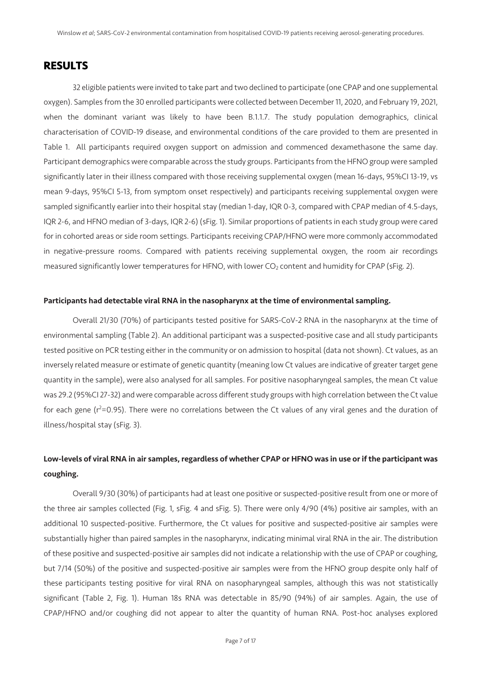## RESULTS

32 eligible patients were invited to take part and two declined to participate (one CPAP and one supplemental oxygen). Samples from the 30 enrolled participants were collected between December 11, 2020, and February 19, 2021, when the dominant variant was likely to have been B.1.1.7. The study population demographics, clinical characterisation of COVID-19 disease, and environmental conditions of the care provided to them are presented in Table 1. All participants required oxygen support on admission and commenced dexamethasone the same day. Participant demographics were comparable across the study groups. Participants from the HFNO group were sampled significantly later in their illness compared with those receiving supplemental oxygen (mean 16-days, 95%CI 13-19, vs mean 9-days, 95%CI 5-13, from symptom onset respectively) and participants receiving supplemental oxygen were sampled significantly earlier into their hospital stay (median 1-day, IQR 0-3, compared with CPAP median of 4.5-days, IQR 2-6, and HFNO median of 3-days, IQR 2-6) (sFig. 1). Similar proportions of patients in each study group were cared for in cohorted areas or side room settings. Participants receiving CPAP/HFNO were more commonly accommodated in negative-pressure rooms. Compared with patients receiving supplemental oxygen, the room air recordings measured significantly lower temperatures for HFNO, with lower CO<sub>2</sub> content and humidity for CPAP (sFig. 2).

## Participants had detectable viral RNA in the nasopharynx at the time of environmental sampling.

Overall 21/30 (70%) of participants tested positive for SARS-CoV-2 RNA in the nasopharynx at the time of environmental sampling (Table 2). An additional participant was a suspected-positive case and all study participants tested positive on PCR testing either in the community or on admission to hospital (data not shown). Ct values, as an inversely related measure or estimate of genetic quantity (meaning low Ct values are indicative of greater target gene quantity in the sample), were also analysed for all samples. For positive nasopharyngeal samples, the mean Ct value was 29.2 (95%CI 27-32) and were comparable across different study groups with high correlation between the Ct value for each gene (r<sup>2</sup>=0.95). There were no correlations between the Ct values of any viral genes and the duration of illness/hospital stay (sFig. 3).

## Low-levels of viral RNA in air samples, regardless of whether CPAP or HFNO was in use or if the participant was coughing.

Overall 9/30 (30%) of participants had at least one positive or suspected-positive result from one or more of the three air samples collected (Fig. 1, sFig. 4 and sFig. 5). There were only 4/90 (4%) positive air samples, with an additional 10 suspected-positive. Furthermore, the Ct values for positive and suspected-positive air samples were substantially higher than paired samples in the nasopharynx, indicating minimal viral RNA in the air. The distribution of these positive and suspected-positive air samples did not indicate a relationship with the use of CPAP or coughing, but 7/14 (50%) of the positive and suspected-positive air samples were from the HFNO group despite only half of these participants testing positive for viral RNA on nasopharyngeal samples, although this was not statistically significant (Table 2, Fig. 1). Human 18s RNA was detectable in 85/90 (94%) of air samples. Again, the use of CPAP/HFNO and/or coughing did not appear to alter the quantity of human RNA. Post-hoc analyses explored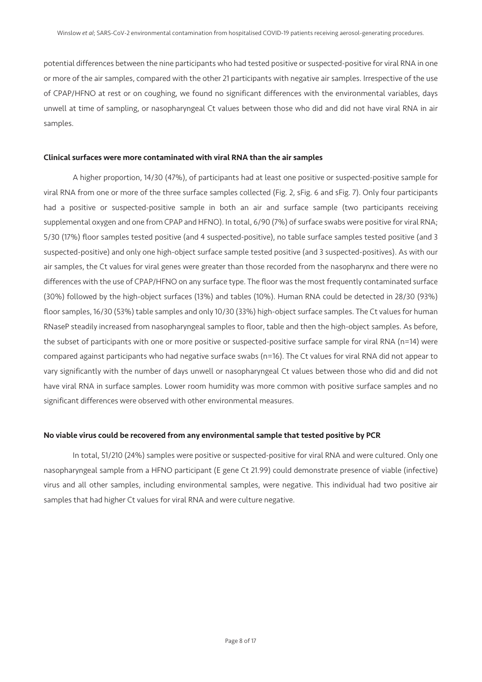potential differences between the nine participants who had tested positive or suspected-positive for viral RNA in one or more of the air samples, compared with the other 21 participants with negative air samples. Irrespective of the use of CPAP/HFNO at rest or on coughing, we found no significant differences with the environmental variables, days unwell at time of sampling, or nasopharyngeal Ct values between those who did and did not have viral RNA in air samples.

#### Clinical surfaces were more contaminated with viral RNA than the air samples

A higher proportion, 14/30 (47%), of participants had at least one positive or suspected-positive sample for viral RNA from one or more of the three surface samples collected (Fig. 2, sFig. 6 and sFig. 7). Only four participants had a positive or suspected-positive sample in both an air and surface sample (two participants receiving supplemental oxygen and one from CPAP and HFNO). In total, 6/90 (7%) of surface swabs were positive for viral RNA; 5/30 (17%) floor samples tested positive (and 4 suspected-positive), no table surface samples tested positive (and 3 suspected-positive) and only one high-object surface sample tested positive (and 3 suspected-positives). As with our air samples, the Ct values for viral genes were greater than those recorded from the nasopharynx and there were no differences with the use of CPAP/HFNO on any surface type. The floor was the most frequently contaminated surface (30%) followed by the high-object surfaces (13%) and tables (10%). Human RNA could be detected in 28/30 (93%) floor samples, 16/30 (53%) table samples and only 10/30 (33%) high-object surface samples. The Ct values for human RNaseP steadily increased from nasopharyngeal samples to floor, table and then the high-object samples. As before, the subset of participants with one or more positive or suspected-positive surface sample for viral RNA (n=14) were compared against participants who had negative surface swabs (n=16). The Ct values for viral RNA did not appear to vary significantly with the number of days unwell or nasopharyngeal Ct values between those who did and did not have viral RNA in surface samples. Lower room humidity was more common with positive surface samples and no significant differences were observed with other environmental measures.

#### No viable virus could be recovered from any environmental sample that tested positive by PCR

In total, 51/210 (24%) samples were positive or suspected-positive for viral RNA and were cultured. Only one nasopharyngeal sample from a HFNO participant (E gene Ct 21.99) could demonstrate presence of viable (infective) virus and all other samples, including environmental samples, were negative. This individual had two positive air samples that had higher Ct values for viral RNA and were culture negative.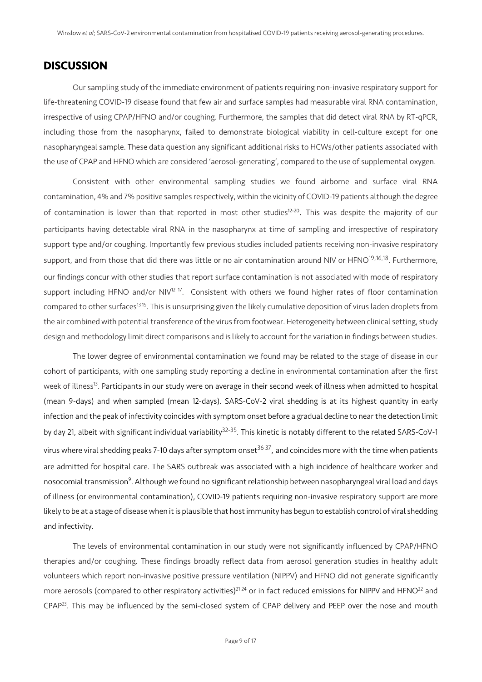## **DISCUSSION**

Our sampling study of the immediate environment of patients requiring non-invasive respiratory support for life-threatening COVID-19 disease found that few air and surface samples had measurable viral RNA contamination, irrespective of using CPAP/HFNO and/or coughing. Furthermore, the samples that did detect viral RNA by RT-qPCR, including those from the nasopharynx, failed to demonstrate biological viability in cell-culture except for one nasopharyngeal sample. These data question any significant additional risks to HCWs/other patients associated with the use of CPAP and HFNO which are considered 'aerosol-generating', compared to the use of supplemental oxygen.

Consistent with other environmental sampling studies we found airborne and surface viral RNA contamination, 4% and 7% positive samples respectively, within the vicinity of COVID-19 patients although the degree of contamination is lower than that reported in most other studies<sup>12-20</sup>. This was despite the majority of our participants having detectable viral RNA in the nasopharynx at time of sampling and irrespective of respiratory support type and/or coughing. Importantly few previous studies included patients receiving non-invasive respiratory support, and from those that did there was little or no air contamination around NIV or HFNO<sup>19,16,18</sup>. Furthermore, our findings concur with other studies that report surface contamination is not associated with mode of respiratory support including HFNO and/or NIV<sup>12 17</sup>. Consistent with others we found higher rates of floor contamination compared to other surfaces<sup>1315</sup>. This is unsurprising given the likely cumulative deposition of virus laden droplets from the air combined with potential transference of the virus from footwear. Heterogeneity between clinical setting, study design and methodology limit direct comparisons and is likely to account for the variation in findings between studies.

The lower degree of environmental contamination we found may be related to the stage of disease in our cohort of participants, with one sampling study reporting a decline in environmental contamination after the first week of illness<sup>13</sup>. Participants in our study were on average in their second week of illness when admitted to hospital (mean 9-days) and when sampled (mean 12-days). SARS-CoV-2 viral shedding is at its highest quantity in early infection and the peak of infectivity coincides with symptom onset before a gradual decline to near the detection limit by day 21, albeit with significant individual variability<sup>32-35</sup>. This kinetic is notably different to the related SARS-CoV-1 virus where viral shedding peaks 7-10 days after symptom onset<sup>36 37</sup>, and coincides more with the time when patients are admitted for hospital care. The SARS outbreak was associated with a high incidence of healthcare worker and nosocomial transmission<sup>9</sup>. Although we found no significant relationship between nasopharyngeal viral load and days of illness (or environmental contamination), COVID-19 patients requiring non-invasive respiratory support are more likely to be at a stage of disease when it is plausible that host immunity has begun to establish control of viral shedding and infectivity.

The levels of environmental contamination in our study were not significantly influenced by CPAP/HFNO therapies and/or coughing. These findings broadly reflect data from aerosol generation studies in healthy adult volunteers which report non-invasive positive pressure ventilation (NIPPV) and HFNO did not generate significantly more aerosols (compared to other respiratory activities)<sup>2124</sup> or in fact reduced emissions for NIPPV and HFNO<sup>22</sup> and  $CPAP<sup>23</sup>$ . This may be influenced by the semi-closed system of CPAP delivery and PEEP over the nose and mouth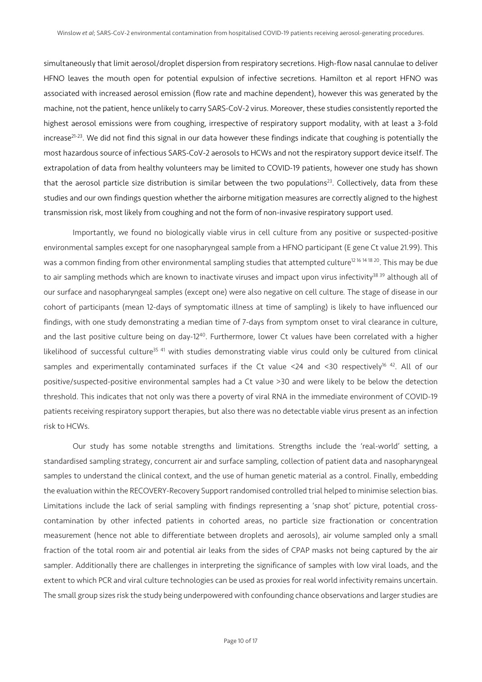simultaneously that limit aerosol/droplet dispersion from respiratory secretions. High-flow nasal cannulae to deliver HFNO leaves the mouth open for potential expulsion of infective secretions. Hamilton et al report HFNO was associated with increased aerosol emission (flow rate and machine dependent), however this was generated by the machine, not the patient, hence unlikely to carry SARS-CoV-2 virus. Moreover, these studies consistently reported the highest aerosol emissions were from coughing, irrespective of respiratory support modality, with at least a 3-fold increase<sup>21-23</sup>. We did not find this signal in our data however these findings indicate that coughing is potentially the most hazardous source of infectious SARS-CoV-2 aerosols to HCWs and not the respiratory support device itself. The extrapolation of data from healthy volunteers may be limited to COVID-19 patients, however one study has shown that the aerosol particle size distribution is similar between the two populations<sup>23</sup>. Collectively, data from these studies and our own findings question whether the airborne mitigation measures are correctly aligned to the highest transmission risk, most likely from coughing and not the form of non-invasive respiratory support used.

Importantly, we found no biologically viable virus in cell culture from any positive or suspected-positive environmental samples except for one nasopharyngeal sample from a HFNO participant (E gene Ct value 21.99). This was a common finding from other environmental sampling studies that attempted culture<sup>12 16 14 18 20</sup>. This may be due to air sampling methods which are known to inactivate viruses and impact upon virus infectivity<sup>38 39</sup> although all of our surface and nasopharyngeal samples (except one) were also negative on cell culture*.* The stage of disease in our cohort of participants (mean 12-days of symptomatic illness at time of sampling) is likely to have influenced our findings, with one study demonstrating a median time of 7-days from symptom onset to viral clearance in culture, and the last positive culture being on day-12<sup>40</sup>. Furthermore, lower Ct values have been correlated with a higher likelihood of successful culture<sup>35 41</sup> with studies demonstrating viable virus could only be cultured from clinical samples and experimentally contaminated surfaces if the Ct value <24 and <30 respectively<sup>16 42</sup>. All of our positive/suspected-positive environmental samples had a Ct value >30 and were likely to be below the detection threshold. This indicates that not only was there a poverty of viral RNA in the immediate environment of COVID-19 patients receiving respiratory support therapies, but also there was no detectable viable virus present as an infection risk to HCWs.

Our study has some notable strengths and limitations. Strengths include the 'real-world' setting, a standardised sampling strategy, concurrent air and surface sampling, collection of patient data and nasopharyngeal samples to understand the clinical context, and the use of human genetic material as a control. Finally, embedding the evaluation within the RECOVERY-Recovery Support randomised controlled trial helped to minimise selection bias. Limitations include the lack of serial sampling with findings representing a 'snap shot' picture, potential crosscontamination by other infected patients in cohorted areas, no particle size fractionation or concentration measurement (hence not able to differentiate between droplets and aerosols), air volume sampled only a small fraction of the total room air and potential air leaks from the sides of CPAP masks not being captured by the air sampler. Additionally there are challenges in interpreting the significance of samples with low viral loads, and the extent to which PCR and viral culture technologies can be used as proxies for real world infectivity remains uncertain. The small group sizes risk the study being underpowered with confounding chance observations and larger studies are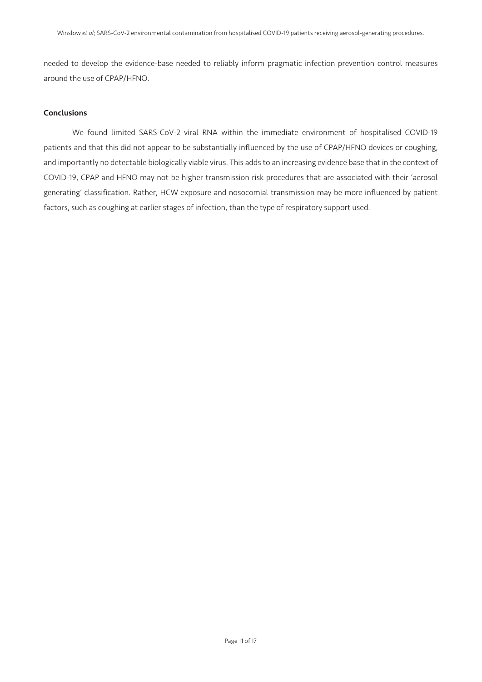needed to develop the evidence-base needed to reliably inform pragmatic infection prevention control measures around the use of CPAP/HFNO.

## Conclusions

We found limited SARS-CoV-2 viral RNA within the immediate environment of hospitalised COVID-19 patients and that this did not appear to be substantially influenced by the use of CPAP/HFNO devices or coughing, and importantly no detectable biologically viable virus. This adds to an increasing evidence base that in the context of COVID-19, CPAP and HFNO may not be higher transmission risk procedures that are associated with their 'aerosol generating' classification. Rather, HCW exposure and nosocomial transmission may be more influenced by patient factors, such as coughing at earlier stages of infection, than the type of respiratory support used.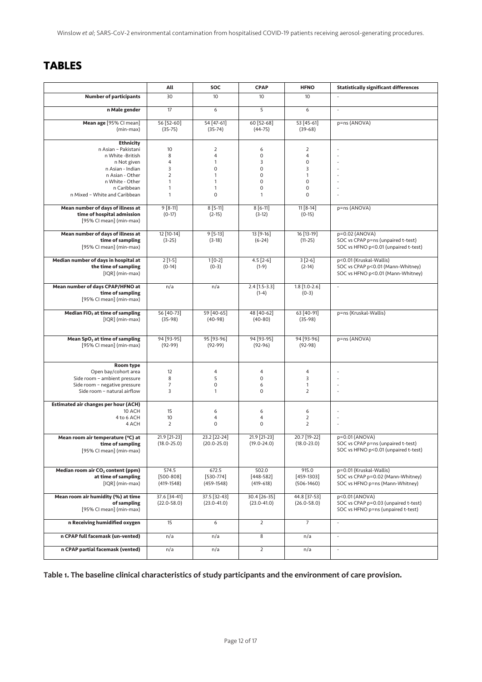# **TABLES**

|                                                                                                                                                                                      | All                                                                                                       | <b>SOC</b>                                                                                                                     | <b>CPAP</b>                           | <b>HFNO</b>                           | <b>Statistically significant differences</b>                                                      |
|--------------------------------------------------------------------------------------------------------------------------------------------------------------------------------------|-----------------------------------------------------------------------------------------------------------|--------------------------------------------------------------------------------------------------------------------------------|---------------------------------------|---------------------------------------|---------------------------------------------------------------------------------------------------|
| <b>Number of participants</b>                                                                                                                                                        | 30                                                                                                        | 10                                                                                                                             | 10                                    | 10                                    |                                                                                                   |
| n Male gender                                                                                                                                                                        | 17                                                                                                        | 6                                                                                                                              | 5                                     | 6                                     | $\overline{\phantom{a}}$                                                                          |
| Mean age [95% CI mean]<br>(min-max)                                                                                                                                                  | 56 [52-60]<br>$(35-75)$                                                                                   | 54 [47-61]<br>$(35-74)$                                                                                                        | 60 [52-68]<br>$(44 - 75)$             | 53 [45-61]<br>$(39-68)$               | p=ns (ANOVA)                                                                                      |
| <b>Ethnicity</b><br>n Asian - Pakistani<br>n White -British<br>n Not given<br>n Asian - Indian<br>n Asian - Other<br>n White - Other<br>n Caribbean<br>n Mixed - White and Caribbean | 10<br>8<br>$\overline{\mathbf{4}}$<br>3<br>$\overline{2}$<br>$\mathbf{1}$<br>$\mathbf{1}$<br>$\mathbf{1}$ | $\overline{2}$<br>$\overline{4}$<br>$\mathbf{1}$<br>$\mathbf 0$<br>$\mathbf{1}$<br>$\mathbf{1}$<br>$\mathbf{1}$<br>$\mathbf 0$ | 6<br>0<br>3<br>0<br>0<br>0<br>0<br>1  | 2<br>4<br>0<br>3<br>1<br>0<br>0<br>0  |                                                                                                   |
| Mean number of days of illness at<br>time of hospital admission<br>[95% CI mean] (min-max)                                                                                           | $9[8-11]$<br>$(0-17)$                                                                                     | $8[5-11]$<br>$(2-15)$                                                                                                          | $8[6-11]$<br>$(3-12)$                 | $11[8-14]$<br>$(0-15)$                | p=ns (ANOVA)                                                                                      |
| Mean number of days of illness at<br>time of sampling<br>[95% CI mean] (min-max)                                                                                                     | 12 [10-14]<br>$(3-25)$                                                                                    | $9[5-13]$<br>$(3-18)$                                                                                                          | 13 [9-16]<br>$(6-24)$                 | 16 [13-19]<br>$(11-25)$               | p=0.02 (ANOVA)<br>SOC vs CPAP p=ns (unpaired t-test)<br>SOC vs HFNO p<0.01 (unpaired t-test)      |
| Median number of days in hospital at<br>the time of sampling<br>[IQR] (min-max)                                                                                                      | $2[1-5]$<br>$(0-14)$                                                                                      | $1[0-2]$<br>$(0-3)$                                                                                                            | $4.5$ [2-6]<br>$(1-9)$                | $3 [2-6]$<br>$(2-14)$                 | p<0.01 (Kruskal-Wallis)<br>SOC vs CPAP p<0.01 (Mann-Whitney)<br>SOC vs HFNO p<0.01 (Mann-Whitney) |
| Mean number of days CPAP/HFNO at<br>time of sampling<br>[95% CI mean] (min-max)                                                                                                      | n/a                                                                                                       | n/a                                                                                                                            | $2.4$ [1.5-3.3]<br>$(1-4)$            | $1.8$ [1.0-2.6]<br>$(0-3)$            |                                                                                                   |
| Median FiO <sub>2</sub> at time of sampling<br>[IQR] (min-max)                                                                                                                       | 56 [40-73]<br>$(35-98)$                                                                                   | 59 [40-65]<br>$(40-98)$                                                                                                        | 48 [40-62]<br>$(40-80)$               | 63 [40-91]<br>$(35-98)$               | p=ns (Kruskal-Wallis)                                                                             |
| Mean SpO <sub>2</sub> at time of sampling<br>[95% CI mean] (min-max)                                                                                                                 | 94 [93-95]<br>$(92-99)$                                                                                   | 95 [93-96]<br>$(92-99)$                                                                                                        | 94 [93-95]<br>$(92-96)$               | 94 [93-96]<br>$(92-98)$               | p=ns (ANOVA)                                                                                      |
| Room type<br>Open bay/cohort area<br>Side room - ambient pressure<br>Side room - negative pressure<br>Side room - natural airflow                                                    | 12<br>8<br>$\overline{7}$<br>3                                                                            | $\overline{4}$<br>5<br>$\mathsf{O}\xspace$<br>$\mathbf{1}$                                                                     | 4<br>0<br>6<br>$\mathbf 0$            | 4<br>3<br>1<br>$\overline{2}$         |                                                                                                   |
| <b>Estimated air changes per hour (ACH)</b><br>10 ACH<br>4 to 6 ACH<br>4 ACH                                                                                                         | 15<br>10<br>$\overline{2}$                                                                                | 6<br>$\overline{4}$<br>$\mathbf 0$                                                                                             | 6<br>4<br>0                           | 6<br>$\mathbf 2$<br>$\mathbf 2$       |                                                                                                   |
| Mean room air temperature (°C) at<br>time of sampling<br>[95% CI mean] (min-max)                                                                                                     | 21.9 [21-23]<br>$(18.0 - 25.0)$                                                                           | 23.2 [22-24]<br>$(20.0 - 25.0)$                                                                                                | 21.9 [21-23]<br>$(19.0 - 24.0)$       | 20.7 [19-22]<br>$(18.0 - 23.0)$       | p=0.01 (ANOVA)<br>SOC vs CPAP p=ns (unpaired t-test)<br>SOC vs HFNO p<0.01 (unpaired t-test)      |
| Median room air CO <sub>2</sub> content (ppm)<br>at time of sampling<br>[IQR] (min-max)                                                                                              | 574.5<br>$[500 - 808]$<br>$(419-1548)$                                                                    | 672.5<br>$[530 - 774]$<br>$(459 - 1548)$                                                                                       | 502.0<br>$[448 - 582]$<br>$(419-618)$ | 915.0<br>$[459-1303]$<br>$(506-1460)$ | p=0.01 (Kruskal-Wallis)<br>SOC vs CPAP p=0.02 (Mann-Whitney)<br>SOC vs HFNO p=ns (Mann-Whitney)   |
| Mean room air humidity (%) at time<br>of sampling<br>[95% CI mean] (min-max)                                                                                                         | 37.6 [34-41]<br>$(22.0 - 58.0)$                                                                           | 37.5 [32-43]<br>$(23.0 - 41.0)$                                                                                                | 30.4 [26-35]<br>$(23.0 - 41.0)$       | 44.8 [37-53]<br>$(26.0 - 58.0)$       | p<0.01 (ANOVA)<br>SOC vs CPAP p=0.03 (unpaired t-test)<br>SOC vs HFNO p=ns (unpaired t-test)      |
| n Receiving humidified oxygen                                                                                                                                                        | 15                                                                                                        | 6                                                                                                                              | $\overline{2}$                        | $\overline{7}$                        | $\overline{\phantom{a}}$                                                                          |
| n CPAP full facemask (un-vented)                                                                                                                                                     | n/a                                                                                                       | n/a                                                                                                                            | $\,$ 8                                | n/a                                   | $\overline{\phantom{a}}$                                                                          |
| n CPAP partial facemask (vented)                                                                                                                                                     | n/a                                                                                                       | n/a                                                                                                                            | $\overline{2}$                        | n/a                                   | $\overline{\phantom{a}}$                                                                          |

**Table 1. The baseline clinical characteristics of study participants and the environment of care provision.**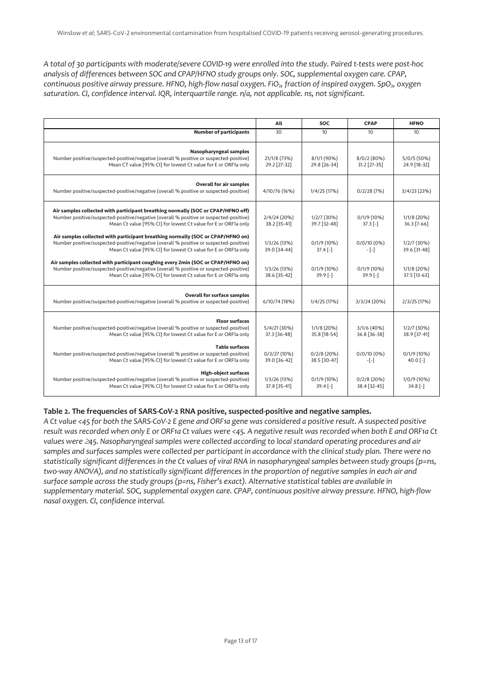*A total of 30 participants with moderate/severe COVID-19 were enrolled into the study. Paired t-tests were post-hoc analysis of differences between SOC and CPAP/HFNO study groups only. SOC, supplemental oxygen care. CPAP, continuous positive airway pressure. HFNO, high-flow nasal oxygen. FiO<sub>2</sub>, fraction of inspired oxygen. SpO<sub>2</sub>, oxygen saturation. CI, confidence interval. IQR, interquartile range. n/a, not applicable. ns, not significant.*

|                                                                                                                                                                                                                                              | All                          | SOC                           | <b>CPAP</b>                   | <b>HFNO</b>                 |
|----------------------------------------------------------------------------------------------------------------------------------------------------------------------------------------------------------------------------------------------|------------------------------|-------------------------------|-------------------------------|-----------------------------|
| <b>Number of participants</b>                                                                                                                                                                                                                | 30                           | 10                            | 10                            | 10                          |
| <b>Nasopharyngeal samples</b><br>Number positive/suspected-positive/negative (overall % positive or suspected-positive)<br>Mean CT value [95% CI] for lowest Ct value for E or ORF1a only                                                    | 21/1/8 (73%)<br>29.2 [27-32] | 8/1/1 (90%)<br>29.8 [26-34]   | 8/0/2 (80%)<br>31.2 [27-35]   | 5/0/5 (50%)<br>24.9 [18-32] |
| <b>Overall for air samples</b><br>Number positive/suspected-positive/negative (overall % positive or suspected-positive)                                                                                                                     | 4/10/76 (16%)                | 1/4/25 (17%)                  | 0/2/28(7%)                    | 3/4/23 (23%)                |
| Air samples collected with participant breathing normally (SOC or CPAP/HFNO off)<br>Number positive/suspected-positive/negative (overall % positive or suspected-positive)<br>Mean Ct value [95% CI] for lowest Ct value for E or ORF1a only | 2/4/24 (20%)<br>38.2 [35-41] | 1/2/7 (30%)<br>39.7 [32-48]   | 0/1/9 (10%)<br>$37.3$ [-]     | 1/1/8 (20%)<br>36.3 [7-66]  |
| Air samples collected with participant breathing normally (SOC or CPAP/HFNO on)<br>Number positive/suspected-positive/negative (overall % positive or suspected-positive)<br>Mean Ct value [95% CI] for lowest Ct value for E or ORF1a only  | 1/3/26 (13%)<br>39.0 [34-44] | 0/1/9 (10%)<br>$37.4[-]$      | $0/0/10(0\%)$<br>$-[.]$       | 1/2/7 (30%)<br>39.6 [31-48] |
| Air samples collected with participant coughing every 2min (SOC or CPAP/HFNO on)<br>Number positive/suspected-positive/negative (overall % positive or suspected-positive)<br>Mean Ct value [95% CI] for lowest Ct value for E or ORF1a only | 1/3/26 (13%)<br>38.6 [35-42] | 0/1/9 (10%)<br>$39.9$ [-]     | $0/1/9$ (10%)<br>$39.9$ [-]   | 1/1/8 (20%)<br>37.5 [13-63] |
| <b>Overall for surface samples</b><br>Number positive/suspected-positive/negative (overall % positive or suspected-positive)                                                                                                                 | 6/10/74 (18%)                | 1/4/25 (17%)                  | 3/3/24 (20%)                  | 2/3/25 (17%)                |
| <b>Floor surfaces</b><br>Number positive/suspected-positive/negative (overall % positive or suspected-positive)<br>Mean Ct value [95% CI] for lowest Ct value for E or ORF1a only                                                            | 5/4/21(30%)<br>37.3 [36-48]  | 1/1/8 (20%)<br>35.8 [18-54]   | 3/1/6 (40%)<br>36.8 [36-38]   | 1/2/7 (30%)<br>38.9 [37-41] |
| <b>Table surfaces</b><br>Number positive/suspected-positive/negative (overall % positive or suspected-positive)<br>Mean Ct value [95% CI] for lowest Ct value for E or ORF1a only                                                            | 0/3/27(10%)<br>39.0 [36-42]  | $0/2/8$ (20%)<br>38.5 [30-47] | 0/0/10 (0%)<br>$-[$ -]        | 0/1/9 (10%)<br>$40.0$ [-]   |
| <b>High-object surfaces</b><br>Number positive/suspected-positive/negative (overall % positive or suspected-positive)<br>Mean Ct value [95% CI] for lowest Ct value for E or ORF1a only                                                      | 1/3/26 (13%)<br>37.8 [35-41] | $0/1/9$ (10%)<br>$39.4[-]$    | $0/2/8$ (20%)<br>38.4 [32-45] | 1/0/9 (10%)<br>$34.8$ [-]   |

## **Table 2. The frequencies of SARS-CoV-2 RNA positive, suspected-positive and negative samples.**

*A Ct value <45 for both the SARS-CoV-2 E gene and ORF1a gene was considered a positive result. A suspected positive result was recorded when only E or ORF1a Ct values were <45. A negative result was recorded when both E and ORF1a Ct values were*  $\geq$ *45. Nasopharyngeal samples were collected according to local standard operating procedures and air samples and surfaces samples were collected per participant in accordance with the clinical study plan. There were no statistically significant differences in the Ct values of viral RNA in nasopharyngeal samples between study groups (p=ns, two-way ANOVA), and no statistically significant differences in the proportion of negative samples in each air and surface sample across the study groups (p=ns, Fisher's exact). Alternative statistical tables are available in supplementary material. SOC, supplemental oxygen care. CPAP, continuous positive airway pressure. HFNO, high-flow nasal oxygen. CI, confidence interval.*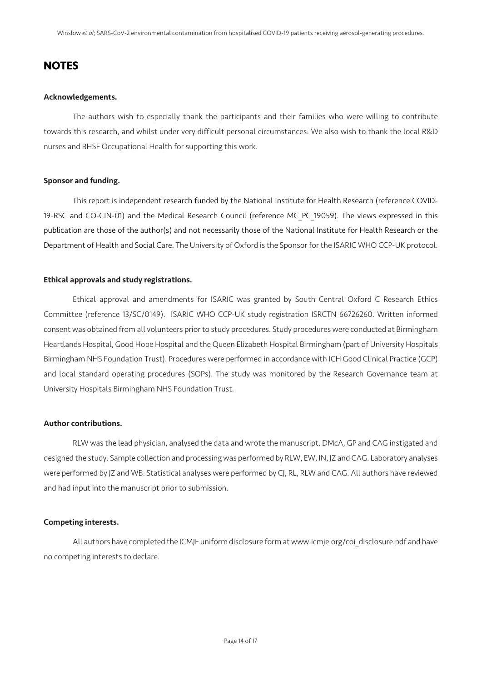## **NOTES**

#### Acknowledgements.

The authors wish to especially thank the participants and their families who were willing to contribute towards this research, and whilst under very difficult personal circumstances. We also wish to thank the local R&D nurses and BHSF Occupational Health for supporting this work.

## Sponsor and funding.

This report is independent research funded by the National Institute for Health Research (reference COVID-19-RSC and CO-CIN-01) and the Medical Research Council (reference MC\_PC\_19059). The views expressed in this publication are those of the author(s) and not necessarily those of the National Institute for Health Research or the Department of Health and Social Care. The University of Oxford is the Sponsor for the ISARIC WHO CCP-UK protocol.

#### Ethical approvals and study registrations.

Ethical approval and amendments for ISARIC was granted by South Central Oxford C Research Ethics Committee (reference 13/SC/0149). ISARIC WHO CCP-UK study registration ISRCTN 66726260. Written informed consent was obtained from all volunteers prior to study procedures. Study procedures were conducted at Birmingham Heartlands Hospital, Good Hope Hospital and the Queen Elizabeth Hospital Birmingham (part of University Hospitals Birmingham NHS Foundation Trust). Procedures were performed in accordance with ICH Good Clinical Practice (GCP) and local standard operating procedures (SOPs). The study was monitored by the Research Governance team at University Hospitals Birmingham NHS Foundation Trust.

## Author contributions.

RLW was the lead physician, analysed the data and wrote the manuscript. DMcA, GP and CAG instigated and designed the study. Sample collection and processing was performed by RLW, EW, IN, JZ and CAG. Laboratory analyses were performed by JZ and WB. Statistical analyses were performed by CJ, RL, RLW and CAG. All authors have reviewed and had input into the manuscript prior to submission.

#### Competing interests.

All authors have completed the ICMJE uniform disclosure form at www.icmje.org/coi\_disclosure.pdf and have no competing interests to declare.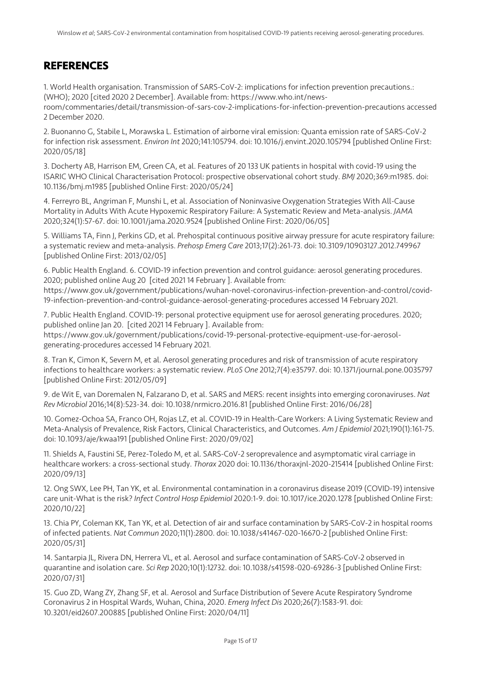# **REFERENCES**

1. World Health organisation. Transmission of SARS-CoV-2: implications for infection prevention precautions.: (WHO); 2020 [cited 2020 2 December]. Available from: https://www.who.int/newsroom/commentaries/detail/transmission-of-sars-cov-2-implications-for-infection-prevention-precautions accessed 2 December 2020.

2. Buonanno G, Stabile L, Morawska L. Estimation of airborne viral emission: Quanta emission rate of SARS-CoV-2 for infection risk assessment. *Environ Int* 2020;141:105794. doi: 10.1016/j.envint.2020.105794 [published Online First: 2020/05/18]

3. Docherty AB, Harrison EM, Green CA, et al. Features of 20 133 UK patients in hospital with covid-19 using the ISARIC WHO Clinical Characterisation Protocol: prospective observational cohort study. *BMJ* 2020;369:m1985. doi: 10.1136/bmj.m1985 [published Online First: 2020/05/24]

4. Ferreyro BL, Angriman F, Munshi L, et al. Association of Noninvasive Oxygenation Strategies With All-Cause Mortality in Adults With Acute Hypoxemic Respiratory Failure: A Systematic Review and Meta-analysis. *JAMA* 2020;324(1):57-67. doi: 10.1001/jama.2020.9524 [published Online First: 2020/06/05]

5. Williams TA, Finn J, Perkins GD, et al. Prehospital continuous positive airway pressure for acute respiratory failure: a systematic review and meta-analysis. *Prehosp Emerg Care* 2013;17(2):261-73. doi: 10.3109/10903127.2012.749967 [published Online First: 2013/02/05]

6. Public Health England. 6. COVID-19 infection prevention and control guidance: aerosol generating procedures. 2020; published online Aug 20 [cited 2021 14 February ]. Available from:

https://www.gov.uk/government/publications/wuhan-novel-coronavirus-infection-prevention-and-control/covid-19-infection-prevention-and-control-guidance-aerosol-generating-procedures accessed 14 February 2021.

7. Public Health England. COVID-19: personal protective equipment use for aerosol generating procedures. 2020; published online Jan 20. [cited 2021 14 February ]. Available from: https://www.gov.uk/government/publications/covid-19-personal-protective-equipment-use-for-aerosolgenerating-procedures accessed 14 February 2021.

8. Tran K, Cimon K, Severn M, et al. Aerosol generating procedures and risk of transmission of acute respiratory infections to healthcare workers: a systematic review. *PLoS One* 2012;7(4):e35797. doi: 10.1371/journal.pone.0035797 [published Online First: 2012/05/09]

9. de Wit E, van Doremalen N, Falzarano D, et al. SARS and MERS: recent insights into emerging coronaviruses. *Nat Rev Microbiol* 2016;14(8):523-34. doi: 10.1038/nrmicro.2016.81 [published Online First: 2016/06/28]

10. Gomez-Ochoa SA, Franco OH, Rojas LZ, et al. COVID-19 in Health-Care Workers: A Living Systematic Review and Meta-Analysis of Prevalence, Risk Factors, Clinical Characteristics, and Outcomes. *Am J Epidemiol* 2021;190(1):161-75. doi: 10.1093/aje/kwaa191 [published Online First: 2020/09/02]

11. Shields A, Faustini SE, Perez-Toledo M, et al. SARS-CoV-2 seroprevalence and asymptomatic viral carriage in healthcare workers: a cross-sectional study. *Thorax* 2020 doi: 10.1136/thoraxjnl-2020-215414 [published Online First: 2020/09/13]

12. Ong SWX, Lee PH, Tan YK, et al. Environmental contamination in a coronavirus disease 2019 (COVID-19) intensive care unit-What is the risk? *Infect Control Hosp Epidemiol* 2020:1-9. doi: 10.1017/ice.2020.1278 [published Online First: 2020/10/22]

13. Chia PY, Coleman KK, Tan YK, et al. Detection of air and surface contamination by SARS-CoV-2 in hospital rooms of infected patients. *Nat Commun* 2020;11(1):2800. doi: 10.1038/s41467-020-16670-2 [published Online First: 2020/05/31]

14. Santarpia JL, Rivera DN, Herrera VL, et al. Aerosol and surface contamination of SARS-CoV-2 observed in quarantine and isolation care. *Sci Rep* 2020;10(1):12732. doi: 10.1038/s41598-020-69286-3 [published Online First: 2020/07/31]

15. Guo ZD, Wang ZY, Zhang SF, et al. Aerosol and Surface Distribution of Severe Acute Respiratory Syndrome Coronavirus 2 in Hospital Wards, Wuhan, China, 2020. *Emerg Infect Dis* 2020;26(7):1583-91. doi: 10.3201/eid2607.200885 [published Online First: 2020/04/11]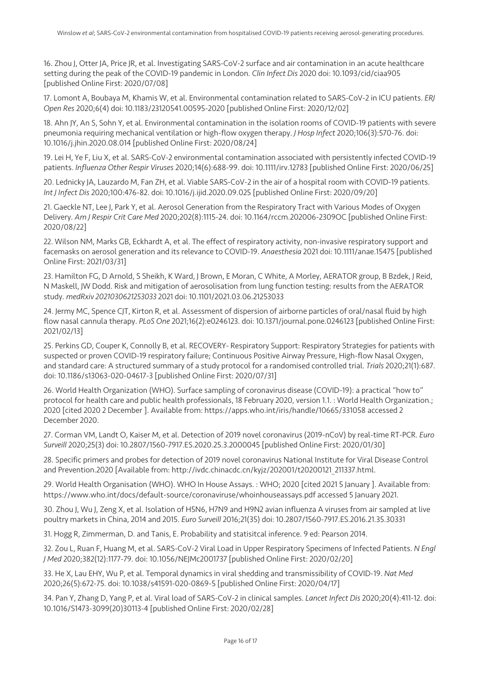16. Zhou J, Otter JA, Price JR, et al. Investigating SARS-CoV-2 surface and air contamination in an acute healthcare setting during the peak of the COVID-19 pandemic in London. *Clin Infect Dis* 2020 doi: 10.1093/cid/ciaa905 [published Online First: 2020/07/08]

17. Lomont A, Boubaya M, Khamis W, et al. Environmental contamination related to SARS-CoV-2 in ICU patients. *ERJ Open Res* 2020;6(4) doi: 10.1183/23120541.00595-2020 [published Online First: 2020/12/02]

18. Ahn JY, An S, Sohn Y, et al. Environmental contamination in the isolation rooms of COVID-19 patients with severe pneumonia requiring mechanical ventilation or high-flow oxygen therapy. *J Hosp Infect* 2020;106(3):570-76. doi: 10.1016/j.jhin.2020.08.014 [published Online First: 2020/08/24]

19. Lei H, Ye F, Liu X, et al. SARS-CoV-2 environmental contamination associated with persistently infected COVID-19 patients. *Influenza Other Respir Viruses* 2020;14(6):688-99. doi: 10.1111/irv.12783 [published Online First: 2020/06/25]

20. Lednicky JA, Lauzardo M, Fan ZH, et al. Viable SARS-CoV-2 in the air of a hospital room with COVID-19 patients. *Int J Infect Dis* 2020;100:476-82. doi: 10.1016/j.ijid.2020.09.025 [published Online First: 2020/09/20]

21. Gaeckle NT, Lee J, Park Y, et al. Aerosol Generation from the Respiratory Tract with Various Modes of Oxygen Delivery. *Am J Respir Crit Care Med* 2020;202(8):1115-24. doi: 10.1164/rccm.202006-2309OC [published Online First: 2020/08/22]

22. Wilson NM, Marks GB, Eckhardt A, et al. The effect of respiratory activity, non-invasive respiratory support and facemasks on aerosol generation and its relevance to COVID-19. *Anaesthesia* 2021 doi: 10.1111/anae.15475 [published Online First: 2021/03/31]

23. Hamilton FG, D Arnold, S Sheikh, K Ward, J Brown, E Moran, C White, A Morley, AERATOR group, B Bzdek, J Reid, N Maskell, JW Dodd. Risk and mitigation of aerosolisation from lung function testing: results from the AERATOR study. *medRxiv 2021030621253033* 2021 doi: 10.1101/2021.03.06.21253033

24. Jermy MC, Spence CJT, Kirton R, et al. Assessment of dispersion of airborne particles of oral/nasal fluid by high flow nasal cannula therapy. *PLoS One* 2021;16(2):e0246123. doi: 10.1371/journal.pone.0246123 [published Online First: 2021/02/13]

25. Perkins GD, Couper K, Connolly B, et al. RECOVERY- Respiratory Support: Respiratory Strategies for patients with suspected or proven COVID-19 respiratory failure; Continuous Positive Airway Pressure, High-flow Nasal Oxygen, and standard care: A structured summary of a study protocol for a randomised controlled trial. *Trials* 2020;21(1):687. doi: 10.1186/s13063-020-04617-3 [published Online First: 2020/07/31]

26. World Health Organization (WHO). Surface sampling of coronavirus disease (COVID-19): a practical "how to" protocol for health care and public health professionals, 18 February 2020, version 1.1. : World Health Organization.; 2020 [cited 2020 2 December ]. Available from: https://apps.who.int/iris/handle/10665/331058 accessed 2 December 2020.

27. Corman VM, Landt O, Kaiser M, et al. Detection of 2019 novel coronavirus (2019-nCoV) by real-time RT-PCR. *Euro Surveill* 2020;25(3) doi: 10.2807/1560-7917.ES.2020.25.3.2000045 [published Online First: 2020/01/30]

28. Specific primers and probes for detection of 2019 novel coronavirus National Institute for Viral Disease Control and Prevention.2020 [Available from: http://ivdc.chinacdc.cn/kyjz/202001/t20200121\_211337.html.

29. World Health Organisation (WHO). WHO In House Assays. : WHO; 2020 [cited 2021 5 January ]. Available from: https://www.who.int/docs/default-source/coronaviruse/whoinhouseassays.pdf accessed 5 January 2021.

30. Zhou J, Wu J, Zeng X, et al. Isolation of H5N6, H7N9 and H9N2 avian influenza A viruses from air sampled at live poultry markets in China, 2014 and 2015. *Euro Surveill* 2016;21(35) doi: 10.2807/1560-7917.ES.2016.21.35.30331

31. Hogg R, Zimmerman, D. and Tanis, E. Probability and statisitcal inference. 9 ed: Pearson 2014.

32. Zou L, Ruan F, Huang M, et al. SARS-CoV-2 Viral Load in Upper Respiratory Specimens of Infected Patients. *N Engl J Med* 2020;382(12):1177-79. doi: 10.1056/NEJMc2001737 [published Online First: 2020/02/20]

33. He X, Lau EHY, Wu P, et al. Temporal dynamics in viral shedding and transmissibility of COVID-19. *Nat Med* 2020;26(5):672-75. doi: 10.1038/s41591-020-0869-5 [published Online First: 2020/04/17]

34. Pan Y, Zhang D, Yang P, et al. Viral load of SARS-CoV-2 in clinical samples. *Lancet Infect Dis* 2020;20(4):411-12. doi: 10.1016/S1473-3099(20)30113-4 [published Online First: 2020/02/28]